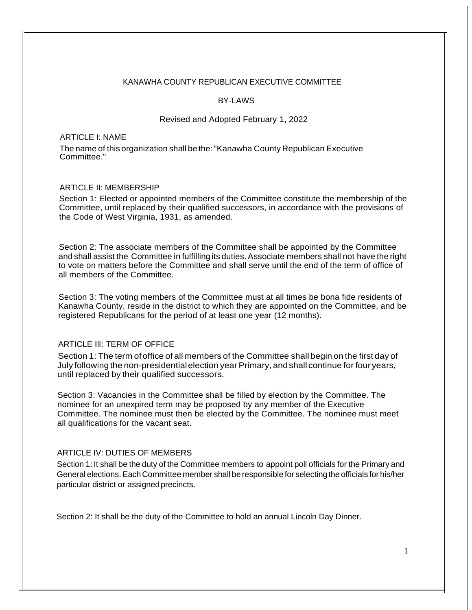### KANAWHA COUNTY REPUBLICAN EXECUTIVE COMMITTEE

#### BY-LAWS

#### Revised and Adopted February 1, 2022

### ARTICLE I: NAME

The name of this organization shall be the:"Kanawha County Republican Executive Committee."

## ARTICLE II: MEMBERSHIP

Section 1: Elected or appointed members of the Committee constitute the membership of the Committee, until replaced by their qualified successors, in accordance with the provisions of the Code of West Virginia, 1931, as amended.

Section 2: The associate members of the Committee shall be appointed by the Committee and shall assist the Committee in fulfilling its duties. Associate members shall not have the right to vote on matters before the Committee and shall serve until the end of the term of office of all members of the Committee.

Section 3: The voting members of the Committee must at all times be bona fide residents of Kanawha County, reside in the district to which they are appointed on the Committee, and be registered Republicans for the period of at least one year (12 months).

## ARTICLE Ill: TERM OF OFFICE

Section 1: The term ofoffice of all members of the Committee shall begin on the first day of July following the non-presidential election year Primary, and shall continue for four years, until replaced by their qualified successors.

Section 3: Vacancies in the Committee shall be filled by election by the Committee. The nominee for an unexpired term may be proposed by any member of the Executive Committee. The nominee must then be elected by the Committee. The nominee must meet all qualifications for the vacant seat.

## ARTICLE IV: DUTIES OF MEMBERS

Section 1: It shall be the duty of the Committee members to appoint poll officials for the Primary and General elections. Each Committee member shall be responsible for selecting the officials for his/her particular district or assignedprecincts.

Section 2: It shall be the duty of the Committee to hold an annual Lincoln Day Dinner.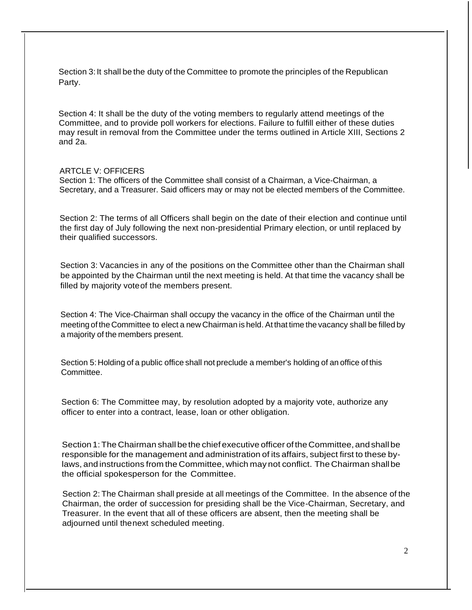Section 3: It shall be the duty of the Committee to promote the principles of the Republican Party.

Section 4: It shall be the duty of the voting members to regularly attend meetings of the Committee, and to provide poll workers for elections. Failure to fulfill either of these duties may result in removal from the Committee under the terms outlined in Article XIII, Sections 2 and 2a.

### ARTCLE V: OFFICERS

Section 1: The officers of the Committee shall consist of a Chairman, a Vice-Chairman, a Secretary, and a Treasurer. Said officers may or may not be elected members of the Committee.

Section 2: The terms of all Officers shall begin on the date of their election and continue until the first day of July following the next non-presidential Primary election, or until replaced by their qualified successors.

Section 3: Vacancies in any of the positions on the Committee other than the Chairman shall be appointed by the Chairman until the next meeting is held. At that time the vacancy shall be filled by majority voteof the members present.

Section 4: The Vice-Chairman shall occupy the vacancy in the office of the Chairman until the meeting of the Committee to elect a new Chairman is held. At that time the vacancy shall be filled by a majority of the members present.

Section 5: Holding of a public office shall not preclude a member's holding of an office of this Committee.

Section 6: The Committee may, by resolution adopted by a majority vote, authorize any officer to enter into a contract, lease, loan or other obligation.

Section 1: The Chairman shall be the chief executive officer of the Committee, and shall be responsible for the management and administration of its affairs, subject first to these bylaws, and instructions from the Committee, which may not conflict. The Chairman shallbe the official spokesperson for the Committee.

Section 2: The Chairman shall preside at all meetings of the Committee. In the absence of the Chairman, the order of succession for presiding shall be the Vice-Chairman, Secretary, and Treasurer. In the event that all of these officers are absent, then the meeting shall be adjourned until thenext scheduled meeting.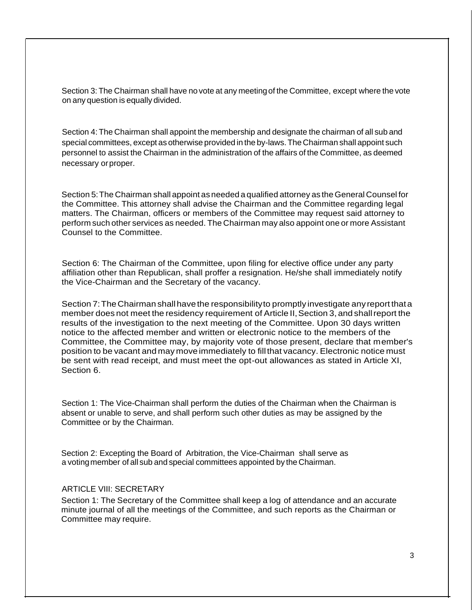Section 3: The Chairman shall have no vote at any meetingof the Committee, except where the vote on any question is equally divided.

Section 4: The Chairman shall appoint the membership and designate the chairman of all sub and special committees, except as otherwise provided in the by-laws.The Chairman shall appoint such personnel to assist the Chairman in the administration of the affairs of the Committee, as deemed necessary orproper.

Section 5:The Chairman shall appoint as needed a qualified attorney as theGeneral Counsel for the Committee. This attorney shall advise the Chairman and the Committee regarding legal matters. The Chairman, officers or members of the Committee may request said attorney to perform such other services as needed. The Chairman may also appoint one or more Assistant Counsel to the Committee.

Section 6: The Chairman of the Committee, upon filing for elective office under any party affiliation other than Republican, shall proffer a resignation. He/she shall immediately notify the Vice-Chairman and the Secretary of the vacancy.

Section 7: The Chairman shall have the responsibility to promptly investigate any report that a member does not meet the residency requirement of Article II, Section 3, and shall report the results of the investigation to the next meeting of the Committee. Upon 30 days written notice to the affected member and written or electronic notice to the members of the Committee, the Committee may, by majority vote of those present, declare that member's position to be vacant and may move immediately to fillthat vacancy. Electronic notice must be sent with read receipt, and must meet the opt-out allowances as stated in Article XI, Section 6.

Section 1: The Vice-Chairman shall perform the duties of the Chairman when the Chairman is absent or unable to serve, and shall perform such other duties as may be assigned by the Committee or by the Chairman.

Section 2: Excepting the Board of Arbitration, the Vice-Chairman shall serve as a votingmember of all sub and special committees appointed by the Chairman.

### ARTICLE VIII: SECRETARY

Section 1: The Secretary of the Committee shall keep a log of attendance and an accurate minute journal of all the meetings of the Committee, and such reports as the Chairman or Committee may require.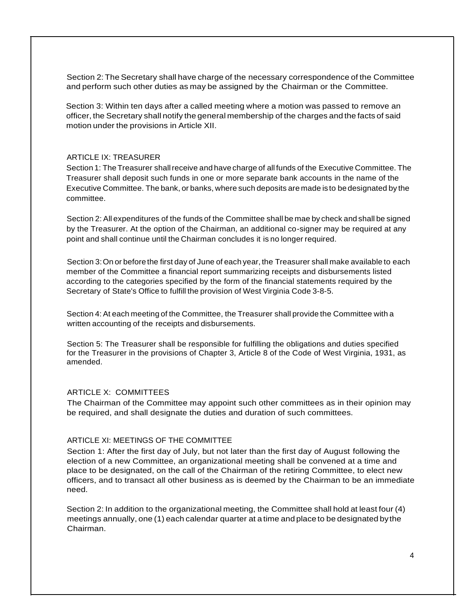Section 2: The Secretary shall have charge of the necessary correspondence of the Committee and perform such other duties as may be assigned by the Chairman or the Committee.

Section 3: Within ten days after a called meeting where a motion was passed to remove an officer, the Secretary shall notify the general membership of the charges and the facts of said motion under the provisions in Article XII.

#### ARTICLE IX: TREASURER

Section 1: TheTreasurer shallreceive and have charge of all funds of the Executive Committee. The Treasurer shall deposit such funds in one or more separate bank accounts in the name of the Executive Committee. The bank, or banks, where such deposits are made is to be designated by the committee.

Section 2: All expenditures of the funds of the Committee shall be mae by check and shall be signed by the Treasurer. At the option of the Chairman, an additional co-signer may be required at any point and shall continue until the Chairman concludes it is no longer required.

Section 3:On or before the first day of June of each year, the Treasurer shall make available to each member of the Committee a financial report summarizing receipts and disbursements listed according to the categories specified by the form of the financial statements required by the Secretary of State's Office to fulfill the provision of West Virginia Code 3-8-5.

Section 4: At each meeting of the Committee, the Treasurer shall provide the Committee with a written accounting of the receipts and disbursements.

Section 5: The Treasurer shall be responsible for fulfilling the obligations and duties specified for the Treasurer in the provisions of Chapter 3, Article 8 of the Code of West Virginia, 1931, as amended.

#### ARTICLE X: COMMITTEES

The Chairman of the Committee may appoint such other committees as in their opinion may be required, and shall designate the duties and duration of such committees.

## ARTICLE XI: MEETINGS OF THE COMMITTEE

Section 1: After the first day of July, but not later than the first day of August following the election of a new Committee, an organizational meeting shall be convened at a time and place to be designated, on the call of the Chairman of the retiring Committee, to elect new officers, and to transact all other business as is deemed by the Chairman to be an immediate need.

Section 2: In addition to the organizational meeting, the Committee shall hold at least four (4) meetings annually, one (1) each calendar quarter at a time and placeto be designated bythe Chairman.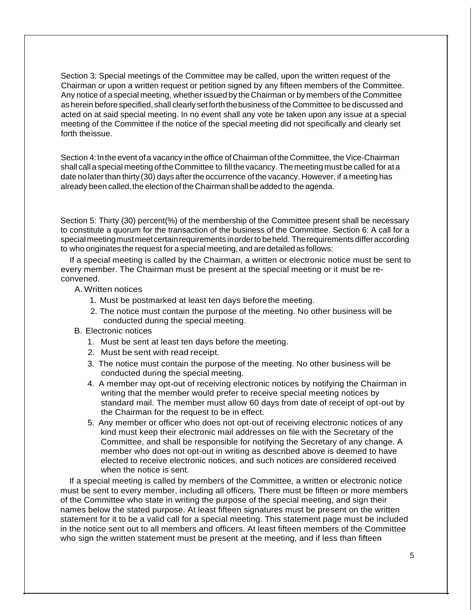Section 3: Special meetings of the Committee may be called, upon the written request of the Chairman or upon a written request or petition signed by any fifteen members of the Committee. Any notice of a special meeting, whether issued by the Chairman or by members of the Committee as herein before specified, shall clearly setforththebusiness of the Committee to be discussed and acted on at said special meeting. In no event shall any vote be taken upon any issue at a special meeting of the Committee if the notice of the special meeting did not specifically and clearly set forth theissue.

Section 4: In the event of a vacancy in the office of Chairman of the Committee, the Vice-Chairman shall call a special meeting of the Committee to fill the vacancy. The meeting must be called for at a date nolater than thirty (30) days after the occurrence ofthe vacancy. However, if a meeting has already been called, the election of the Chairman shall be added to the agenda.

Section 5: Thirty (30) percent(%) of the membership of the Committee present shall be necessary to constitute a quorum for the transaction of the business of the Committee. Section 6: A call for a special meeting must meet certain requirements in order to be held. The requirements differ according to who originates the request for a special meeting, and are detailed as follows:

If a special meeting is called by the Chairman, a written or electronic notice must be sent to every member. The Chairman must be present at the special meeting or it must be reconvened.

- A. Written notices
	- 1. Must be postmarked at least ten days beforethe meeting.
	- 2. The notice must contain the purpose of the meeting. No other business will be conducted during the special meeting.
- B. Electronic notices
	- 1. Must be sent at least ten days before the meeting.
	- 2. Must be sent with read receipt.
	- 3. The notice must contain the purpose of the meeting. No other business will be conducted during the special meeting.
	- 4. A member may opt-out of receiving electronic notices by notifying the Chairman in writing that the member would prefer to receive special meeting notices by standard mail. The member must allow 60 days from date of receipt of opt-out by the Chairman for the request to be in effect.
	- 5. Any member or officer who does not opt-out of receiving electronic notices of any kind must keep their electronic mail addresses on file with the Secretary of the Committee, and shall be responsible for notifying the Secretary of any change. A member who does not opt-out in writing as described above is deemed to have elected to receive electronic notices, and such notices are considered received when the notice is sent.

If a special meeting is called by members of the Committee, a written or electronic notice must be sent to every member, including all officers. There must be fifteen or more members of the Committee who state in writing the purpose of the special meeting, and sign their names below the stated purpose. At least fifteen signatures must be present on the written statement for it to be a valid call for a special meeting. This statement page must be included in the notice sent out to all members and officers. At least fifteen members of the Committee who sign the written statement must be present at the meeting, and if less than fifteen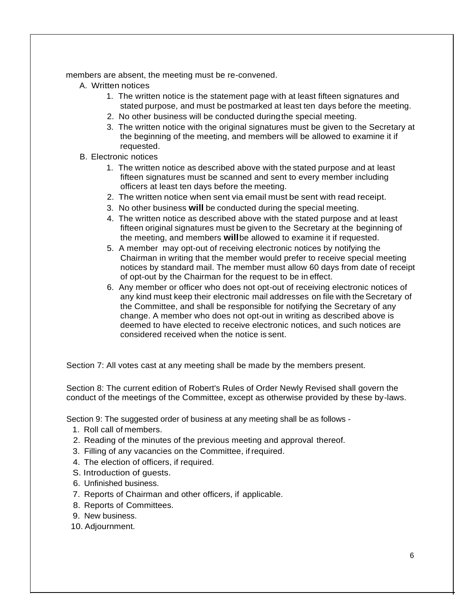members are absent, the meeting must be re-convened.

- A. Written notices
	- 1. The written notice is the statement page with at least fifteen signatures and stated purpose, and must be postmarked at least ten days before the meeting.
	- 2. No other business will be conducted duringthe special meeting.
	- 3. The written notice with the original signatures must be given to the Secretary at the beginning of the meeting, and members will be allowed to examine it if requested.
- B. Electronic notices
	- 1. The written notice as described above with the stated purpose and at least fifteen signatures must be scanned and sent to every member including officers at least ten days before the meeting.
	- 2. The written notice when sent via email must be sent with read receipt.
	- 3. No other business **will** be conducted during the special meeting.
	- 4. The written notice as described above with the stated purpose and at least fifteen original signatures must be given to the Secretary at the beginning of the meeting, and members **will**be allowed to examine it if requested.
	- 5. A member may opt-out of receiving electronic notices by notifying the Chairman in writing that the member would prefer to receive special meeting notices by standard mail. The member must allow 60 days from date of receipt of opt-out by the Chairman for the request to be in effect.
	- 6. Any member or officer who does not opt-out of receiving electronic notices of any kind must keep their electronic mail addresses on file with the Secretary of the Committee, and shall be responsible for notifying the Secretary of any change. A member who does not opt-out in writing as described above is deemed to have elected to receive electronic notices, and such notices are considered received when the notice is sent.

Section 7: All votes cast at any meeting shall be made by the members present.

Section 8: The current edition of Robert's Rules of Order Newly Revised shall govern the conduct of the meetings of the Committee, except as otherwise provided by these by-laws.

Section 9: The suggested order of business at any meeting shall be as follows -

- 1. Roll call of members.
- 2. Reading of the minutes of the previous meeting and approval thereof.
- 3. Filling of any vacancies on the Committee, ifrequired.
- 4. The election of officers, if required.
- S. Introduction of guests.
- 6. Unfinished business.
- 7. Reports of Chairman and other officers, if applicable.
- 8. Reports of Committees.
- 9. New business.
- 10. Adjournment.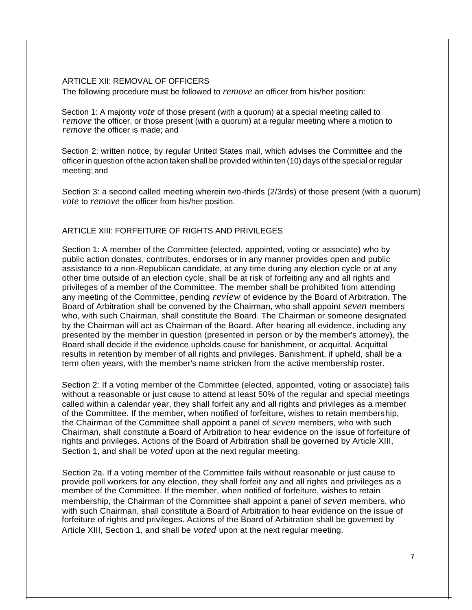### ARTICLE XII: REMOVAL OF OFFICERS

The following procedure must be followed to *remove* an officer from his/her position:

Section 1: A majority *vote* of those present (with a quorum) at a special meeting called to *remove* the officer, or those present (with a quorum) at a regular meeting where a motion to *remove* the officer is made; and

Section 2: written notice, by regular United States mail, which advises the Committee and the officer in question of the action taken shall be provided within ten (10) days of the special or regular meeting; and

Section 3: a second called meeting wherein two-thirds (2/3rds) of those present (with a quorum) *vote* to *remove* the officer from his/her position.

# ARTICLE XIII: FORFEITURE OF RIGHTS AND PRIVILEGES

Section 1: A member of the Committee (elected, appointed, voting or associate) who by public action donates, contributes, endorses or in any manner provides open and public assistance to a non-Republican candidate, at any time during any election cycle or at any other time outside of an election cycle, shall be at risk of forfeiting any and all rights and privileges of a member of the Committee. The member shall be prohibited from attending any meeting of the Committee, pending *review* of evidence by the Board of Arbitration. The Board of Arbitration shall be convened by the Chairman, who shall appoint *seven* members who, with such Chairman, shall constitute the Board. The Chairman or someone designated by the Chairman will act as Chairman of the Board. After hearing all evidence, including any presented by the member in question (presented in person or by the member's attorney), the Board shall decide if the evidence upholds cause for banishment, or acquittal. Acquittal results in retention by member of all rights and privileges. Banishment, if upheld, shall be a term often years, with the member's name stricken from the active membership roster.

Section 2: If a voting member of the Committee (elected, appointed, voting or associate) fails without a reasonable or just cause to attend at least 50% of the regular and special meetings called within a calendar year, they shall forfeit any and all rights and privileges as a member of the Committee. If the member, when notified of forfeiture, wishes to retain membership, the Chairman of the Committee shall appoint a panel of *seven* members, who with such Chairman, shall constitute a Board of Arbitration to hear evidence on the issue of forfeiture of rights and privileges. Actions of the Board of Arbitration shall be governed by Article XIII, Section 1, and shall be *voted* upon at the next regular meeting.

Section 2a. If a voting member of the Committee fails without reasonable or just cause to provide poll workers for any election, they shall forfeit any and all rights and privileges as a member of the Committee. If the member, when notified of forfeiture, wishes to retain membership, the Chairman of the Committee shall appoint a panel of *seven* members, who with such Chairman, shall constitute a Board of Arbitration to hear evidence on the issue of forfeiture of rights and privileges. Actions of the Board of Arbitration shall be governed by Article XIII, Section 1, and shall be *voted* upon at the next regular meeting.